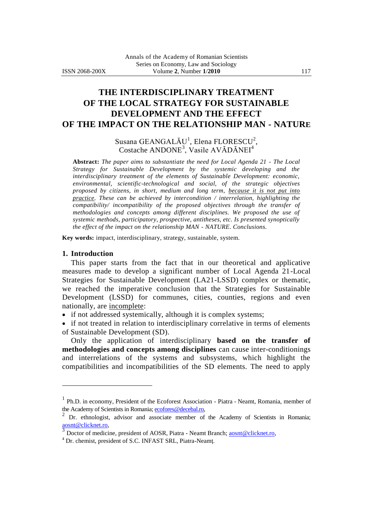## **THE INTERDISCIPLINARY TREATMENT OF THE LOCAL STRATEGY FOR SUSTAINABLE DEVELOPMENT AND THE EFFECT OF THE IMPACT ON THE RELATIONSHIP MAN - NATURE**

Susana GEANGALĂU<sup>1</sup>, Elena FLORESCU<sup>2</sup>, Costache ANDONE<sup>3</sup>, Vasile AVĂDĂNEI<sup>4</sup>

**Abstract:** *The paper aims to substantiate the need for Local Agenda 21 - The Local Strategy for Sustainable Development by the systemic developing and the interdisciplinary treatment of the elements of Sustainable Development: economic, environmental, scientific-technological and social, of the strategic objectives proposed by citizens, in short, medium and long term, because it is not put into practice. These can be achieved by intercondition / interrelation, highlighting the compatibility/ incompatibility of the proposed objectives through the transfer of methodologies and concepts among different disciplines. We proposed the use of systemic methods, participatory, prospective, antitheses, etc. Is presented synoptically the effect of the impact on the relationship MAN - NATURE. Conclusions.*

**Key words:** impact, interdisciplinary, strategy, sustainable, system.

#### **1. Introduction**

 $\overline{a}$ 

This paper starts from the fact that in our theoretical and applicative measures made to develop a significant number of Local Agenda 21-Local Strategies for Sustainable Development (LA21-LSSD) complex or thematic, we reached the imperative conclusion that the Strategies for Sustainable Development (LSSD) for communes, cities, counties, regions and even nationally, are incomplete:

if not addressed systemically, although it is complex systems;

 if not treated in relation to interdisciplinary correlative in terms of elements of Sustainable Development (SD).

Only the application of interdisciplinary **based on the transfer of methodologies and concepts among disciplines** can cause inter-conditionings and interrelations of the systems and subsystems, which highlight the compatibilities and incompatibilities of the SD elements. The need to apply

<sup>&</sup>lt;sup>1</sup> Ph.D. in economy, President of the Ecoforest Association - Piatra - Neamt, Romania, member of the Academy of Scientists in Romania[; ecofores@decebal.ro,](mailto:ecofores@decebal.ro)

<sup>&</sup>lt;sup>2</sup> Dr. ethnologist, advisor and associate member of the Academy of Scientists in Romania; [aosnt@clicknet.ro,](mailto:aosnt@clicknet.ro)

<sup>3</sup> Doctor of medicine, president of AOSR, Piatra - Neamt Branch[; aosnt@clicknet.ro,](mailto:aosnt@clicknet.ro)

<sup>4</sup> Dr. chemist, president of S.C. INFAST SRL, Piatra-Neamţ.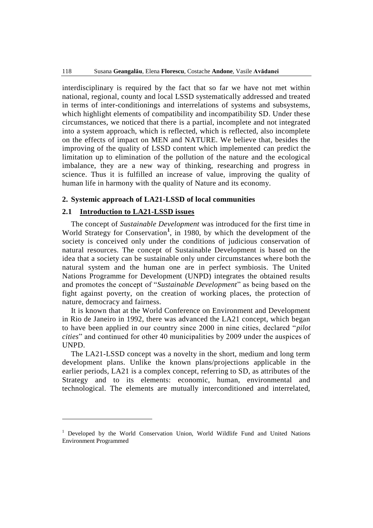interdisciplinary is required by the fact that so far we have not met within national, regional, county and local LSSD systematically addressed and treated in terms of inter-conditionings and interrelations of systems and subsystems, which highlight elements of compatibility and incompatibility SD. Under these circumstances, we noticed that there is a partial, incomplete and not integrated into a system approach, which is reflected, which is reflected, also incomplete on the effects of impact on MEN and NATURE. We believe that, besides the improving of the quality of LSSD content which implemented can predict the limitation up to elimination of the pollution of the nature and the ecological imbalance, they are a new way of thinking, researching and progress in science. Thus it is fulfilled an increase of value, improving the quality of human life in harmony with the quality of Nature and its economy.

#### **2. Systemic approach of LA21-LSSD of local communities**

## **2.1 Introduction to LA21-LSSD issues**

The concept of *Sustainable Development* was introduced for the first time in World Strategy for Conservation<sup>1</sup>, in 1980, by which the development of the society is conceived only under the conditions of judicious conservation of natural resources. The concept of Sustainable Development is based on the idea that a society can be sustainable only under circumstances where both the natural system and the human one are in perfect symbiosis. The United Nations Programme for Development (UNPD) integrates the obtained results and promotes the concept of "*Sustainable Development*" as being based on the fight against poverty, on the creation of working places, the protection of nature, democracy and fairness.

It is known that at the World Conference on Environment and Development in Rio de Janeiro in 1992, there was advanced the LA21 concept, which began to have been applied in our country since 2000 in nine cities, declared "*pilot cities*" and continued for other 40 municipalities by 2009 under the auspices of UNPD.

The LA21-LSSD concept was a novelty in the short, medium and long term development plans. Unlike the known plans/projections applicable in the earlier periods, LA21 is a complex concept, referring to SD, as attributes of the Strategy and to its elements: economic, human, environmental and technological. The elements are mutually interconditioned and interrelated,

 $\overline{a}$ 

<sup>&</sup>lt;sup>1</sup> Developed by the World Conservation Union, World Wildlife Fund and United Nations Environment Programmed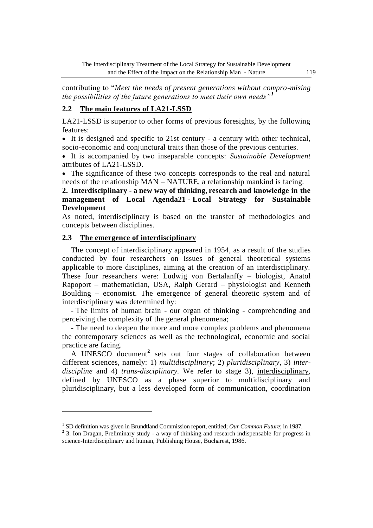contributing to "*Meet the needs of present generations without compro-mising the possibilities of the future generations to meet their own needs"<sup>1</sup>*

## **2.2 The main features of LA21-LSSD**

LA21-LSSD is superior to other forms of previous foresights, by the following features:

 It is designed and specific to 21st century - a century with other technical, socio-economic and conjunctural traits than those of the previous centuries.

 It is accompanied by two inseparable concepts: *Sustainable Development* attributes of LA21-LSSD.

 The significance of these two concepts corresponds to the real and natural needs of the relationship MAN – NATURE, a relationship mankind is facing.

**2. Interdisciplinary - a new way of thinking, research and knowledge in the management of Local Agenda21 - Local Strategy for Sustainable Development**

As noted, interdisciplinary is based on the transfer of methodologies and concepts between disciplines.

## **2.3 The emergence of interdisciplinary**

 $\overline{a}$ 

The concept of interdisciplinary appeared in 1954, as a result of the studies conducted by four researchers on issues of general theoretical systems applicable to more disciplines, aiming at the creation of an interdisciplinary. These four researchers were: Ludwig von Bertalanffy – biologist, Anatol Rapoport – mathematician, USA, Ralph Gerard – physiologist and Kenneth Boulding – economist. The emergence of general theoretic system and of interdisciplinary was determined by:

- The limits of human brain - our organ of thinking - comprehending and perceiving the complexity of the general phenomena;

- The need to deepen the more and more complex problems and phenomena the contemporary sciences as well as the technological, economic and social practice are facing.

A UNESCO document**<sup>2</sup>** sets out four stages of collaboration between different sciences, namely: 1) *multidisciplinary*; 2) *pluridisciplinary*, 3) *interdiscipline* and 4) *trans-disciplinary.* We refer to stage 3), interdisciplinary, defined by UNESCO as a phase superior to multidisciplinary and pluridisciplinary, but a less developed form of communication, coordination

<sup>&</sup>lt;sup>1</sup> SD definition was given in Brundtland Commission report, entitled; Our Common Future; in 1987.

<sup>&</sup>lt;sup>2</sup> 3. Ion Dragan, Preliminary study - a way of thinking and research indispensable for progress in science-Interdisciplinary and human, Publishing House, Bucharest, 1986.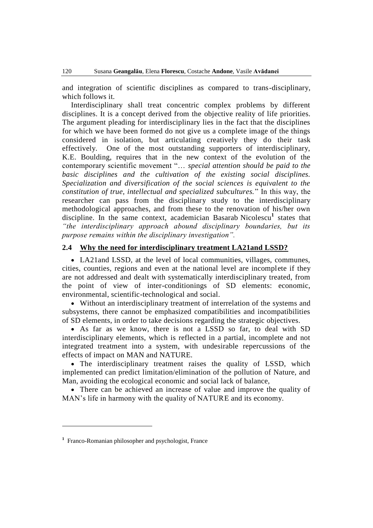and integration of scientific disciplines as compared to trans-disciplinary, which follows it.

Interdisciplinary shall treat concentric complex problems by different disciplines. It is a concept derived from the objective reality of life priorities. The argument pleading for interdisciplinary lies in the fact that the disciplines for which we have been formed do not give us a complete image of the things considered in isolation, but articulating creatively they do their task effectively. One of the most outstanding supporters of interdisciplinary, K.E. Boulding, requires that in the new context of the evolution of the contemporary scientific movement "… *special attention should be paid to the basic disciplines and the cultivation of the existing social disciplines. Specialization and diversification of the social sciences is equivalent to the constitution of true, intellectual and specialized subcultures.*" In this way, the researcher can pass from the disciplinary study to the interdisciplinary methodological approaches, and from these to the renovation of his/her own discipline. In the same context, academician Basarab Nicolescu**<sup>1</sup>** states that *"the interdisciplinary approach abound disciplinary boundaries, but its purpose remains within the disciplinary investigation".*

## **2.4 Why the need for interdisciplinary treatment LA21and LSSD?**

 LA21and LSSD, at the level of local communities, villages, communes, cities, counties, regions and even at the national level are incomplete if they are not addressed and dealt with systematically interdisciplinary treated, from the point of view of inter-conditionings of SD elements: economic, environmental, scientific-technological and social.

 Without an interdisciplinary treatment of interrelation of the systems and subsystems, there cannot be emphasized compatibilities and incompatibilities of SD elements, in order to take decisions regarding the strategic objectives.

 As far as we know, there is not a LSSD so far, to deal with SD interdisciplinary elements, which is reflected in a partial, incomplete and not integrated treatment into a system, with undesirable repercussions of the effects of impact on MAN and NATURE.

 The interdisciplinary treatment raises the quality of LSSD, which implemented can predict limitation/elimination of the pollution of Nature, and Man, avoiding the ecological economic and social lack of balance,

 There can be achieved an increase of value and improve the quality of MAN's life in harmony with the quality of NATURE and its economy.

 $\overline{a}$ 

**<sup>1</sup>** Franco-Romanian philosopher and psychologist, France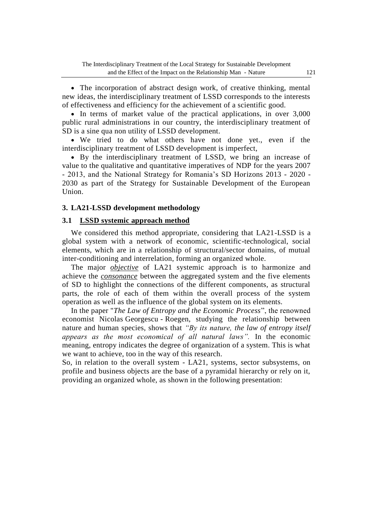• The incorporation of abstract design work, of creative thinking, mental new ideas, the interdisciplinary treatment of LSSD corresponds to the interests of effectiveness and efficiency for the achievement of a scientific good.

• In terms of market value of the practical applications, in over 3,000 public rural administrations in our country, the interdisciplinary treatment of SD is a sine qua non utility of LSSD development.

 We tried to do what others have not done yet., even if the interdisciplinary treatment of LSSD development is imperfect,

 By the interdisciplinary treatment of LSSD, we bring an increase of value to the qualitative and quantitative imperatives of NDP for the years 2007 - 2013, and the National Strategy for Romania's SD Horizons 2013 - 2020 - 2030 as part of the Strategy for Sustainable Development of the European Union.

## **3. LA21-LSSD development methodology**

## **3.1 LSSD systemic approach method**

We considered this method appropriate, considering that LA21-LSSD is a global system with a network of economic, scientific-technological, social elements, which are in a relationship of structural/sector domains, of mutual inter-conditioning and interrelation, forming an organized whole.

The major *objective* of LA21 systemic approach is to harmonize and achieve the *consonance* between the aggregated system and the five elements of SD to highlight the connections of the different components, as structural parts, the role of each of them within the overall process of the system operation as well as the influence of the global system on its elements.

In the paper "*The Law of Entropy and the Economic Process*", the renowned economist Nicolas Georgescu - Roegen, studying the relationship between nature and human species, shows that *"By its nature, the law of entropy itself appears as the most economical of all natural laws".* In the economic meaning, entropy indicates the degree of organization of a system. This is what we want to achieve, too in the way of this research.

So, in relation to the overall system - LA21, systems, sector subsystems, on profile and business objects are the base of a pyramidal hierarchy or rely on it, providing an organized whole, as shown in the following presentation: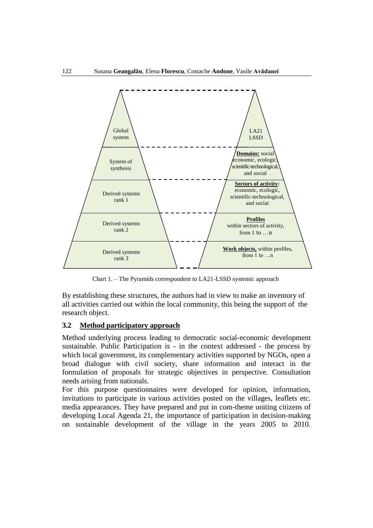

Chart 1. – The Pyramids correspondent to LA21-LSSD systemic approach

By establishing these structures, the authors had in view to make an inventory of all activities carried out within the local community, this being the support of the research object.

## **3.2 Method participatory approach**

Method underlying process leading to democratic social-economic development sustainable. Public Participation is - in the context addressed - the process by which local government, its complementary activities supported by NGOs, open a broad dialogue with civil society, share information and interact in the formulation of proposals for strategic objectives in perspective. Consultation needs arising from nationals.

For this purpose questionnaires were developed for opinion, information, invitations to participate in various activities posted on the villages, leaflets etc. media appearances. They have prepared and put in com-theme uniting citizens of developing Local Agenda 21, the importance of participation in decision-making on sustainable development of the village in the years 2005 to 2010.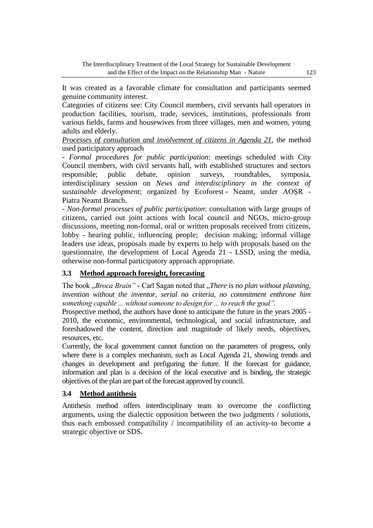It was created as a favorable climate for consultation and participants seemed genuine community interest.

Categories of citizens see: City Council members, civil servants hall operators in production facilities, tourism, trade, services, institutions, professionals from various fields, farms and housewives from three villages, men and women, young adults and elderly.

*Processes of consultation and involvement of citizens in Agenda 21*, the method used participatory approach

- *Formal procedures for public participation*: meetings scheduled with City Council members, with civil servants hall, with established structures and sectors responsible; public debate, opinion surveys, roundtables, symposia, interdisciplinary session on *News and interdisciplinary in the context of sustainable development*; organized by Ecoforest - Neamt, under AOŞR - Piatra Neamt Branch.

- *Non-formal processes of public participation*: consultation with large groups of citizens, carried out joint actions with local council and NGOs, micro-group discussions, meeting non-formal, oral or written proposals received from citizens, lobby - hearing public, influencing people; decision making; informal village leaders use ideas, proposals made by experts to help with proposals based on the questionnaire, the development of Local Agenda 21 - LSSD, using the media, otherwise non-formal participatory approach appropriate.

## **3.3 Method approach foresight, forecasting**

The book "*Broca Brain*" - Carl Sagan noted that "*There is no plan without planning*, *invention without the inventor, serial no criteria, no commitment enthrone him something capable ... without someone to design for ... to reach the goal".*

Prospective method, the authors have done to anticipate the future in the years 2005 - 2010, the economic, environmental, technological, and social infrastructure, and foreshadowed the content, direction and magnitude of likely needs, objectives, resources, etc.

Currently, the local government cannot function on the parameters of progress, only where there is a complex mechanism, such as Local Agenda 21, showing trends and changes in development and prefiguring the future. If the forecast for guidance, information and plan is a decision of the local executive and is binding, the strategic objectives of the plan are part of the forecast approved by council.

## **3.4 Method antithesis**

Antithesis method offers interdisciplinary team to overcome the conflicting arguments, using the dialectic opposition between the two judgments / solutions, thus each embossed compatibility / incompatibility of an activity-to become a strategic objective or SDS.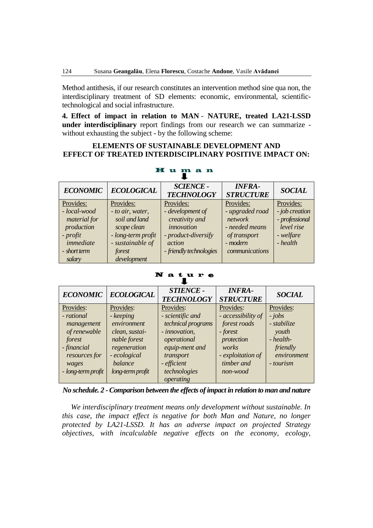Method antithesis, if our research constitutes an intervention method sine qua non, the interdisciplinary treatment of SD elements: economic, environmental, scientifictechnological and social infrastructure.

**4. Effect of impact in relation to MAN** - **NATURE, treated LA21-LSSD under interdisciplinary** report findings from our research we can summarize without exhausting the subject - by the following scheme:

## **ELEMENTS OF SUSTAINABLE DEVELOPMENT AND EFFECT OF TREATED INTERDISCIPLINARY POSITIVE IMPACT ON:**

| <b>ECONOMIC</b>                                                                               | <b>ECOLOGICAL</b>                                                                                                   | <b>SCIENCE -</b><br><b>TECHNOLOGY</b>                                                                        | <b>INFRA-</b><br><b>STRUCTURE</b>                                                          | <b>SOCIAL</b>                                                           |  |  |
|-----------------------------------------------------------------------------------------------|---------------------------------------------------------------------------------------------------------------------|--------------------------------------------------------------------------------------------------------------|--------------------------------------------------------------------------------------------|-------------------------------------------------------------------------|--|--|
| Provides:                                                                                     | Provides:                                                                                                           | Provides:                                                                                                    | Provides:                                                                                  | Provides:                                                               |  |  |
| - local-wood<br>material for<br>production<br>- profit<br>immediate<br>- short term<br>salary | - to air, water,<br>soil and land<br>scope clean<br>- long-term profit<br>- sustainable of<br>forest<br>development | - development of<br>creativity and<br>innovation<br>- product-diversify<br>action<br>- friendly technologies | - upgraded road<br>network<br>- needed means<br>of transport<br>- modern<br>communications | - job creation<br>- professional<br>level rise<br>- welfare<br>- health |  |  |

# H u m a n

#### N a t\_u r e

| <b>ECONOMIC</b>                                                                                                                | <b>ECOLOGICAL</b>                                                                                                                      | <b>STIENCE -</b><br><b>TECHNOLOGY</b>                                                                                                                          | <b>INFRA-</b><br><b>STRUCTURE</b>                                                                                                 | <b>SOCIAL</b>                                                                                      |
|--------------------------------------------------------------------------------------------------------------------------------|----------------------------------------------------------------------------------------------------------------------------------------|----------------------------------------------------------------------------------------------------------------------------------------------------------------|-----------------------------------------------------------------------------------------------------------------------------------|----------------------------------------------------------------------------------------------------|
| Provides:<br>- rational<br>management<br>of renewable<br>forest<br>- financial<br>resources for<br>wages<br>- long-term profit | Provides:<br>- keeping<br>environment<br>clean, sustai-<br>nable forest<br>regeneration<br>- ecological<br>balance<br>long-term profit | Provides:<br>- scientific and<br>technical programs<br>- innovation,<br>operational<br>equip-ment and<br>transport<br>- efficient<br>technologies<br>operating | Provides:<br>- accessibility of<br>forest roads<br>- forest<br>protection<br>works<br>- exploitation of<br>timber and<br>non-wood | Provides:<br>$- jobs$<br>- stabilize<br>youth<br>- health-<br>friendly<br>environment<br>- tourism |

*No schedule. 2 -Comparison between the effects of impact in relation to man and nature*

*We interdisciplinary treatment means only development without sustainable. In this case, the impact effect is negative for both Man and Nature, no longer protected by LA21-LSSD. It has an adverse impact on projected Strategy objectives, with incalculable negative effects on the economy, ecology,*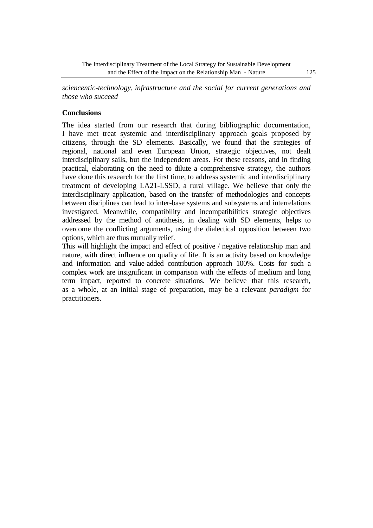*sciencentic-technology, infrastructure and the social for current generations and those who succeed*

## **Conclusions**

The idea started from our research that during bibliographic documentation, I have met treat systemic and interdisciplinary approach goals proposed by citizens, through the SD elements. Basically, we found that the strategies of regional, national and even European Union, strategic objectives, not dealt interdisciplinary sails, but the independent areas. For these reasons, and in finding practical, elaborating on the need to dilute a comprehensive strategy, the authors have done this research for the first time, to address systemic and interdisciplinary treatment of developing LA21-LSSD, a rural village. We believe that only the interdisciplinary application, based on the transfer of methodologies and concepts between disciplines can lead to inter-base systems and subsystems and interrelations investigated. Meanwhile, compatibility and incompatibilities strategic objectives addressed by the method of antithesis, in dealing with SD elements, helps to overcome the conflicting arguments, using the dialectical opposition between two options, which are thus mutually relief.

This will highlight the impact and effect of positive / negative relationship man and nature, with direct influence on quality of life. It is an activity based on knowledge and information and value-added contribution approach 100%. Costs for such a complex work are insignificant in comparison with the effects of medium and long term impact, reported to concrete situations. We believe that this research, as a whole, at an initial stage of preparation, may be a relevant *paradigm* for practitioners.